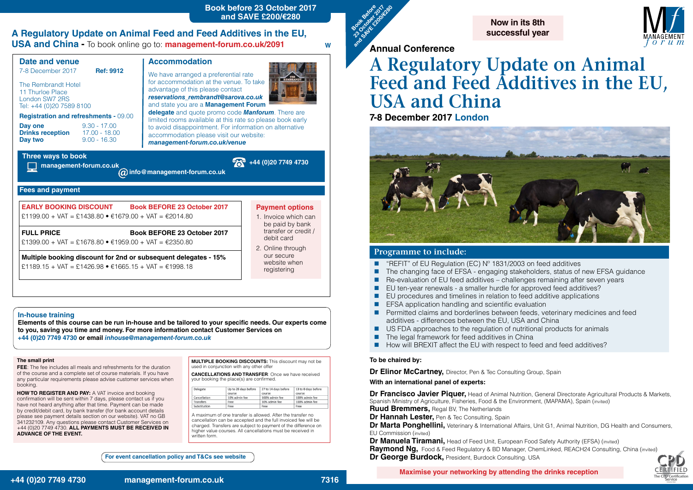## **A Regulatory Update on Animal Feed and Feed Additives in the EU, USA and China -** To book online go to: **management-forum.co.uk/2091**

#### **Fees and payment**

## **Date and venue** 7-8 December 2017 **Ref: 9912** The Rembrandt Hotel 11 Thurloe Place

**FULL PRICE Book BEFORE 23 October 2017**  £1399.00 + VAT = £1678.80 • €1959.00 + VAT = €2350.80

London SW7 2RS Tel: +44 (0)20 7589 8100

**Multiple booking discount for 2nd or subsequent delegates - 15%** £1189.15 + VAT = £1426.98 • €1665.15 + VAT = €1998.18

|  | <b>Registration and refreshments - 09.00</b> |  |
|--|----------------------------------------------|--|
|--|----------------------------------------------|--|

| Day one                 | $9.30 - 17.00$ |
|-------------------------|----------------|
| <b>Drinks reception</b> | 17.00 - 18.00  |
| Day two                 | $9.00 - 16.30$ |

| <b>EARLY BOOKING DISCOUNT</b>                         | <b>Book BEFORE 23 October 2017</b> |
|-------------------------------------------------------|------------------------------------|
| £1199.00 + VAT = £1438.80 • €1679.00 + VAT = €2014.80 |                                    |

We have arranged a preferential rate for accommodation at the venue. To take advantage of this please contact *reservations\_rembrandt@sarova.co.uk* and state you are a **Management Forum**



## **Three ways to book Three ways to book**

## **Accommodation**

**delegate** and quote promo code *Manforum*. There are limited rooms available at this rate so please book early to avoid disappointment. For information on alternative accommodation please visit our website: *management-forum.co.uk/venue*

**FEE**: The fee includes all meals and refreshments for the duration of the course and a complete set of course materials. If you have any particular requirements please advise customer services when booking.

**W**

**management-forum.co.uk**

**+44 (0)20 7749 4730** 

**info@management-forum.co.uk**

**HOW TO REGISTER AND PAY:** A VAT invoice and booking confirmation will be sent within 7 days, please contact us if you have not heard anything after that time. Payment can be made by credit/debit card, by bank transfer (for bank account details please see payment details section on our website). VAT no GB 341232109. Any questions please contact Customer Services on +44 (0)20 7749 4730. **ALL PAYMENTS MUST BE RECEIVED IN ADVANCE OF THE EVENT.** 

**MULTIPLE BOOKING DISCOUNTS:** This discount may not be used in conjunction with any other offer

**CANCELLATIONS AND TRANSFER**: Once we have received your booking the place(s) are confirmed.

| Delegate         | Up to 28 days before | 27 to 14 days before | 13 to 0 days before |
|------------------|----------------------|----------------------|---------------------|
|                  | course               | course               | course              |
| Cancellation     | 10% admin fee        | 100% admin fee       | 100% admin fee      |
| <b>Transfers</b> | Free                 | 10% admin fee        | 100% admin fee      |
| Substitution     | Free                 | Free                 | Free                |

A maximum of one transfer is allowed. After the transfer no cancellation can be accepted and the full invoiced fee will be charged. Transfers are subject to payment of the difference on higher value courses. All cancellations must be received in written form.

**Dr Francisco Javier Piquer,** Head of Animal Nutrition, General Directorate Agricultural Products & Markets, Spanish Ministry of Agriculture, Fisheries, Food & the Environment, (MAPAMA), Spain (invited) **Ruud Bremmers,** Regal BV, The Netherlands

**Dr Hannah Lester, Pen & Tec Consulting, Spain** 

**Dr Marta Ponghellini,** Veterinary & International Affairs, Unit G1, Animal Nutrition, DG Health and Consumers, EU Commission (invited)

**Dr Manuela Tiramani.** Head of Feed Unit, European Food Safety Authority (EFSA) (invited) **Raymond Ng,** Food & Feed Regulatory & BD Manager, ChemLinked, REACH24 Consulting, China (invited) **Dr George Burdock, President, Burdock Consulting. USA** 

**For event cancellation policy and T&Cs see website**

**Book Before 23 October 2018** and **Property 2012** 

#### **In-house training**

**Elements of this course can be run in-house and be tailored to your specific needs. Our experts come to you, saving you time and money. For more information contact Customer Services on +44 (0)20 7749 4730 or email** *inhouse@management-forum.co.uk*

#### **The small print**

**Payment options** 1. Invoice which can be paid by bank transfer or credit /

debit card 2. Online through our secure website when registering

# **A Regulatory Update on Animal Feed and Feed Additives in the EU, USA and China**

**To be chaired by:** 

**Dr Elinor McCartney,** Director, Pen & Tec Consulting Group, Spain

**With an international panel of experts:**

**7-8 December 2017 London**





 $\blacksquare$  The changing face of EFSA - engaging stakeholders, status of new EFSA guidance



**Now in its 8th successful year**

## **Annual Conference**

## **Programme to include:**

- **n** "REFIT" of EU Regulation (EC)  $N^{\circ}$  1831/2003 on feed additives
- 
- $\blacksquare$  Re-evaluation of EU feed additives challenges remaining after seven years
- EU ten-year renewals a smaller hurdle for approved feed additives?
- $\blacksquare$  EU procedures and timelines in relation to feed additive applications
- $EFSA$  application handling and scientific evaluation
- **n** Permitted claims and borderlines between feeds, veterinary medicines and feed additives - differences between the EU, USA and China
- $\blacksquare$  US FDA approaches to the regulation of nutritional products for animals
- $\blacksquare$  The legal framework for feed additives in China
- How will BREXIT affect the EU with respect to feed and feed additives?